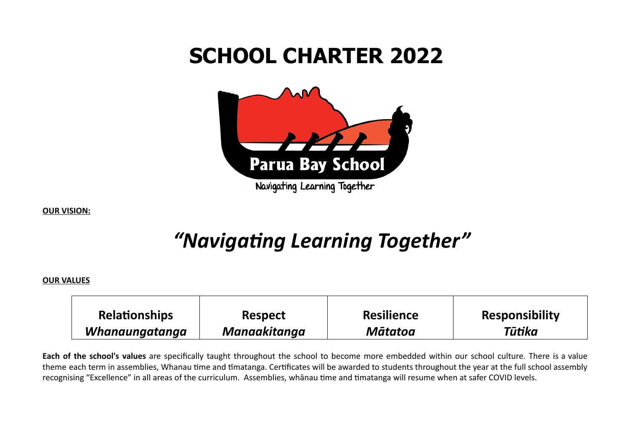# **SCHOOL CHARTER 2022**



**OUR VISION:**

# "Navigating Learning Together"

#### **OUR VALUES**

| <b>Relationships</b> | <b>Respect</b> | <b>Resilience</b> | <b>Responsibility</b> |
|----------------------|----------------|-------------------|-----------------------|
| Whanaungatanga       | Manaakitanga   | <b>Mātatoa</b>    | Tūtika                |

**Each of the school's values** are specifically taught throughout the school to become more embedded within our school culture. There is a value theme each term in assemblies, Whanau time and timatanga. Certificates will be awarded to students throughout the year at the full school assembly recognising "Excellence" in all areas of the curriculum. Assemblies, whanau time and timatanga will resume when at safer COVID levels.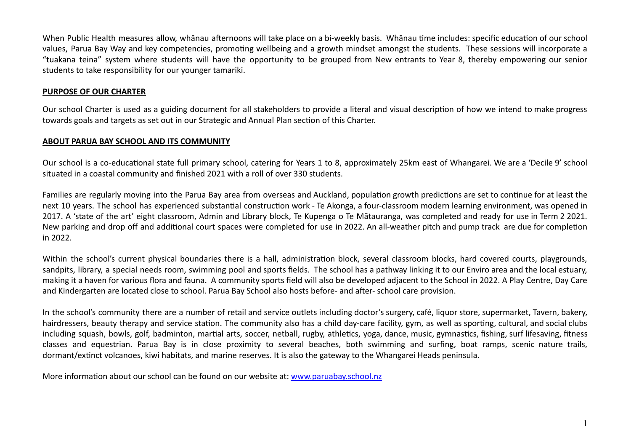When Public Health measures allow, whānau afternoons will take place on a bi-weekly basis. Whānau time includes: specific education of our school values, Parua Bay Way and key competencies, promoting wellbeing and a growth mindset amongst the students. These sessions will incorporate a "tuakana teina" system where students will have the opportunity to be grouped from New entrants to Year 8, thereby empowering our senior students to take responsibility for our younger tamariki.

#### **PURPOSE OF OUR CHARTER**

Our school Charter is used as a guiding document for all stakeholders to provide a literal and visual description of how we intend to make progress towards goals and targets as set out in our Strategic and Annual Plan section of this Charter.

#### **ABOUT PARUA BAY SCHOOL AND ITS COMMUNITY**

Our school is a co-educational state full primary school, catering for Years 1 to 8, approximately 25km east of Whangarei. We are a 'Decile 9' school situated in a coastal community and finished 2021 with a roll of over 330 students.

Families are regularly moving into the Parua Bay area from overseas and Auckland, population growth predictions are set to continue for at least the next 10 years. The school has experienced substantial construction work - Te Akonga, a four-classroom modern learning environment, was opened in 2017. A 'state of the art' eight classroom, Admin and Library block, Te Kupenga o Te Mātauranga, was completed and ready for use in Term 2 2021. New parking and drop off and additional court spaces were completed for use in 2022. An all-weather pitch and pump track are due for completion in 2022.

Within the school's current physical boundaries there is a hall, administration block, several classroom blocks, hard covered courts, playgrounds, sandpits, library, a special needs room, swimming pool and sports fields. The school has a pathway linking it to our Enviro area and the local estuary, making it a haven for various flora and fauna. A community sports field will also be developed adjacent to the School in 2022. A Play Centre, Day Care and Kindergarten are located close to school. Parua Bay School also hosts before- and after- school care provision.

In the school's community there are a number of retail and service outlets including doctor's surgery, café, liquor store, supermarket, Tavern, bakery, hairdressers, beauty therapy and service station. The community also has a child day-care facility, gym, as well as sporting, cultural, and social clubs including squash, bowls, golf, badminton, martial arts, soccer, netball, rugby, athletics, yoga, dance, music, gymnastics, fishing, surf lifesaving, fitness classes and equestrian. Parua Bay is in close proximity to several beaches, both swimming and surfing, boat ramps, scenic nature trails, dormant/extinct volcanoes, kiwi habitats, and marine reserves. It is also the gateway to the Whangarei Heads peninsula.

More information about our school can be found on our website at: [www.paruabay.school.nz](http://www.paruabay.school.nz/)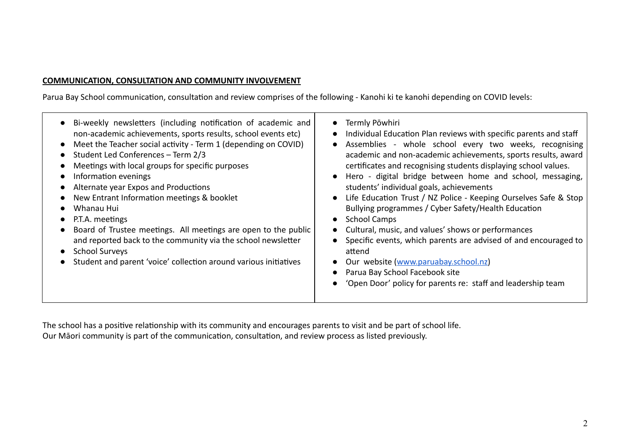#### **COMMUNICATION, CONSULTATION AND COMMUNITY INVOLVEMENT**

Parua Bay School communication, consultation and review comprises of the following - Kanohi ki te kanohi depending on COVID levels:

| Bi-weekly newsletters (including notification of academic and<br>non-academic achievements, sports results, school events etc)<br>Meet the Teacher social activity - Term 1 (depending on COVID)<br>Student Led Conferences - Term 2/3<br>$\bullet$<br>Meetings with local groups for specific purposes<br>$\bullet$<br>Information evenings<br>Alternate year Expos and Productions<br>New Entrant Information meetings & booklet<br>Whanau Hui<br>P.T.A. meetings<br>Board of Trustee meetings. All meetings are open to the public<br>and reported back to the community via the school newsletter<br><b>School Surveys</b><br>$\bullet$<br>Student and parent 'voice' collection around various initiatives<br>$\bullet$ | Termly Pōwhiri<br>$\bullet$<br>Individual Education Plan reviews with specific parents and staff<br>$\bullet$<br>Assemblies - whole school every two weeks, recognising<br>$\bullet$<br>academic and non-academic achievements, sports results, award<br>certificates and recognising students displaying school values.<br>• Hero - digital bridge between home and school, messaging,<br>students' individual goals, achievements<br>Life Education Trust / NZ Police - Keeping Ourselves Safe & Stop<br>$\bullet$<br>Bullying programmes / Cyber Safety/Health Education<br><b>School Camps</b><br>$\bullet$<br>Cultural, music, and values' shows or performances<br>$\bullet$<br>Specific events, which parents are advised of and encouraged to<br>$\bullet$<br>attend<br>Our website (www.paruabay.school.nz)<br>$\bullet$<br>Parua Bay School Facebook site<br>$\bullet$<br>'Open Door' policy for parents re: staff and leadership team<br>$\bullet$ |
|------------------------------------------------------------------------------------------------------------------------------------------------------------------------------------------------------------------------------------------------------------------------------------------------------------------------------------------------------------------------------------------------------------------------------------------------------------------------------------------------------------------------------------------------------------------------------------------------------------------------------------------------------------------------------------------------------------------------------|---------------------------------------------------------------------------------------------------------------------------------------------------------------------------------------------------------------------------------------------------------------------------------------------------------------------------------------------------------------------------------------------------------------------------------------------------------------------------------------------------------------------------------------------------------------------------------------------------------------------------------------------------------------------------------------------------------------------------------------------------------------------------------------------------------------------------------------------------------------------------------------------------------------------------------------------------------------|
|------------------------------------------------------------------------------------------------------------------------------------------------------------------------------------------------------------------------------------------------------------------------------------------------------------------------------------------------------------------------------------------------------------------------------------------------------------------------------------------------------------------------------------------------------------------------------------------------------------------------------------------------------------------------------------------------------------------------------|---------------------------------------------------------------------------------------------------------------------------------------------------------------------------------------------------------------------------------------------------------------------------------------------------------------------------------------------------------------------------------------------------------------------------------------------------------------------------------------------------------------------------------------------------------------------------------------------------------------------------------------------------------------------------------------------------------------------------------------------------------------------------------------------------------------------------------------------------------------------------------------------------------------------------------------------------------------|

The school has a positive relationship with its community and encourages parents to visit and be part of school life. Our Māori community is part of the communication, consultation, and review process as listed previously.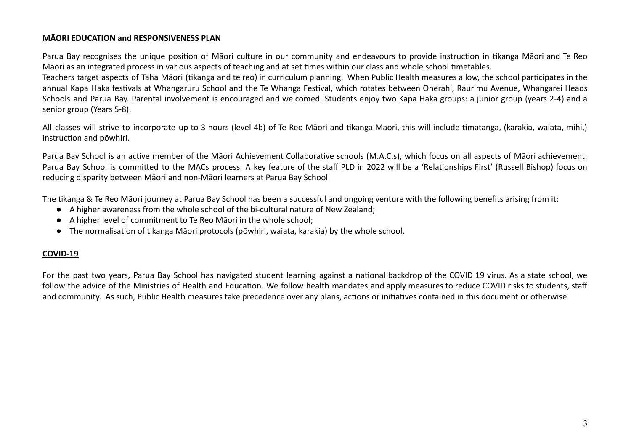#### **MĀORI EDUCATION and RESPONSIVENESS PLAN**

Parua Bay recognises the unique position of Māori culture in our community and endeavours to provide instruction in tikanga Māori and Te Reo Māori as an integrated process in various aspects of teaching and at set times within our class and whole school timetables.

Teachers target aspects of Taha Māori (tikanga and te reo) in curriculum planning. When Public Health measures allow, the school participates in the annual Kapa Haka festivals at Whangaruru School and the Te Whanga Festival, which rotates between Onerahi, Raurimu Avenue, Whangarei Heads Schools and Parua Bay. Parental involvement is encouraged and welcomed. Students enjoy two Kapa Haka groups: a junior group (years 2-4) and a senior group (Years 5-8).

All classes will strive to incorporate up to 3 hours (level 4b) of Te Reo Māori and tikanga Maori, this will include timatanga, (karakia, waiata, mihi,) instruction and pōwhiri.

Parua Bay School is an active member of the Māori Achievement Collaborative schools (M.A.C.s), which focus on all aspects of Māori achievement. Parua Bay School is committed to the MACs process. A key feature of the staff PLD in 2022 will be a 'Relationships First' (Russell Bishop) focus on reducing disparity between Māori and non-Māori learners at Parua Bay School

The kanga & Te Reo Māori journey at Parua Bay School has been a successful and ongoing venture with the following benefits arising from it:

- A higher awareness from the whole school of the bi-cultural nature of New Zealand;
- A higher level of commitment to Te Reo Māori in the whole school;
- $\bullet$  The normalisation of tikanga Māori protocols (pōwhiri, waiata, karakia) by the whole school.

#### **COVID-19**

For the past two years, Parua Bay School has navigated student learning against a national backdrop of the COVID 19 virus. As a state school, we follow the advice of the Ministries of Health and Education. We follow health mandates and apply measures to reduce COVID risks to students, staff and community. As such, Public Health measures take precedence over any plans, actions or initiatives contained in this document or otherwise.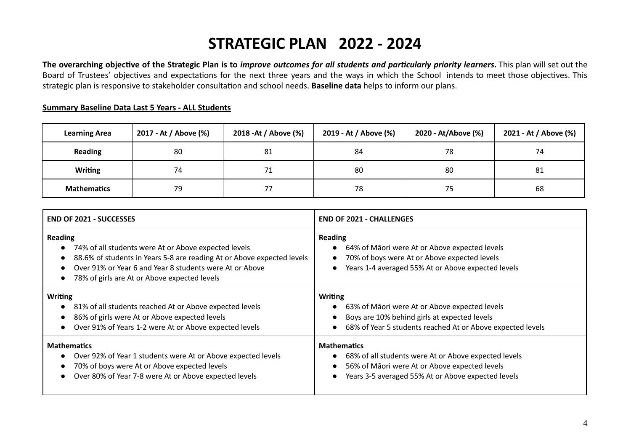## **STRATEGIC PLAN 2022 - 2024**

The overarching objective of the Strategic Plan is to improve outcomes for all students and particularly priority learners. This plan will set out the Board of Trustees' objectives and expectations for the next three years and the ways in which the School intends to meet those objectives. This strategic plan is responsive to stakeholder consultation and school needs. **Baseline data** helps to inform our plans.

#### **Summary Baseline Data Last 5 Years - ALL Students**

| <b>Learning Area</b> | 2017 - At / Above (%) | 2018 - At / Above (%) | 2019 - At / Above (%) |    | 2021 - At / Above (%) |  |
|----------------------|-----------------------|-----------------------|-----------------------|----|-----------------------|--|
| <b>Reading</b>       | 80                    | 81                    | 84                    | 78 | 74                    |  |
| <b>Writing</b>       | 74                    | 71                    | 80                    | 80 | 81                    |  |
| <b>Mathematics</b>   | 79                    |                       | 78                    | 75 | 68                    |  |

| <b>END OF 2021 - SUCCESSES</b>                                                                                                                                                                                                                                                        | <b>END OF 2021 - CHALLENGES</b>                                                                                                                                                   |  |  |  |  |
|---------------------------------------------------------------------------------------------------------------------------------------------------------------------------------------------------------------------------------------------------------------------------------------|-----------------------------------------------------------------------------------------------------------------------------------------------------------------------------------|--|--|--|--|
| <b>Reading</b><br>74% of all students were At or Above expected levels<br>$\bullet$<br>88.6% of students in Years 5-8 are reading At or Above expected levels<br>$\bullet$<br>Over 91% or Year 6 and Year 8 students were At or Above<br>78% of girls are At or Above expected levels | <b>Reading</b><br>64% of Māori were At or Above expected levels<br>70% of boys were At or Above expected levels<br>Years 1-4 averaged 55% At or Above expected levels             |  |  |  |  |
| <b>Writing</b><br>81% of all students reached At or Above expected levels<br>$\bullet$<br>86% of girls were At or Above expected levels<br>$\bullet$<br>Over 91% of Years 1-2 were At or Above expected levels<br>$\bullet$                                                           | <b>Writing</b><br>63% of Māori were At or Above expected levels<br>Boys are 10% behind girls at expected levels<br>68% of Year 5 students reached At or Above expected levels     |  |  |  |  |
| <b>Mathematics</b><br>Over 92% of Year 1 students were At or Above expected levels<br>$\bullet$<br>70% of boys were At or Above expected levels<br>Over 80% of Year 7-8 were At or Above expected levels                                                                              | <b>Mathematics</b><br>68% of all students were At or Above expected levels<br>56% of Māori were At or Above expected levels<br>Years 3-5 averaged 55% At or Above expected levels |  |  |  |  |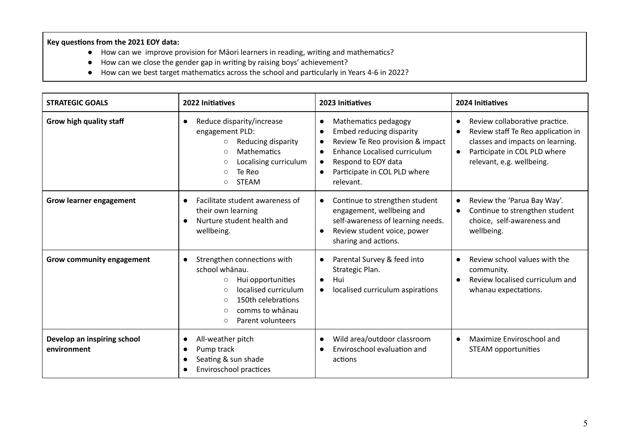#### **Key** questions from the 2021 EOY data:

- How can we improve provision for Māori learners in reading, writing and mathematics?
- How can we close the gender gap in writing by raising boys' achievement?
- How can we best target mathematics across the school and particularly in Years 4-6 in 2022?

| <b>STRATEGIC GOALS</b>                     | 2022 Initiatives                                                                                                                                                                                                             | 2023 Initiatives                                                                                                                                                                                                                                                                     | 2024 Initiatives                                                                                                                                                      |
|--------------------------------------------|------------------------------------------------------------------------------------------------------------------------------------------------------------------------------------------------------------------------------|--------------------------------------------------------------------------------------------------------------------------------------------------------------------------------------------------------------------------------------------------------------------------------------|-----------------------------------------------------------------------------------------------------------------------------------------------------------------------|
| Grow high quality staff                    | Reduce disparity/increase<br>$\bullet$<br>engagement PLD:<br>Reducing disparity<br>$\circ$<br><b>Mathematics</b><br>$\circ$<br>Localising curriculum<br>$\circ$<br>Te Reo<br>$\circ$<br><b>STEAM</b><br>$\circ$              | Mathematics pedagogy<br>$\bullet$<br><b>Embed reducing disparity</b><br>$\bullet$<br>Review Te Reo provision & impact<br>$\bullet$<br><b>Enhance Localised curriculum</b><br>$\bullet$<br>Respond to EOY data<br>$\bullet$<br>Participate in COL PLD where<br>$\bullet$<br>relevant. | Review collaborative practice.<br>Review staff Te Reo application in<br>classes and impacts on learning.<br>Participate in COL PLD where<br>relevant, e.g. wellbeing. |
| <b>Grow learner engagement</b>             | Facilitate student awareness of<br>$\bullet$<br>their own learning<br>Nurture student health and<br>wellbeing.                                                                                                               | Continue to strengthen student<br>$\bullet$<br>engagement, wellbeing and<br>self-awareness of learning needs.<br>Review student voice, power<br>$\bullet$<br>sharing and actions.                                                                                                    | Review the 'Parua Bay Way'.<br>$\bullet$<br>Continue to strengthen student<br>choice, self-awareness and<br>wellbeing.                                                |
| Grow community engagement                  | Strengthen connections with<br>$\bullet$<br>school whānau.<br>Hui opportunities<br>$\circ$<br>localised curriculum<br>$\circ$<br>150th celebrations<br>$\circ$<br>comms to whānau<br>$\circ$<br>Parent volunteers<br>$\circ$ | Parental Survey & feed into<br>$\bullet$<br>Strategic Plan.<br>Hui<br>$\bullet$<br>localised curriculum aspirations<br>$\bullet$                                                                                                                                                     | Review school values with the<br>community.<br>Review localised curriculum and<br>whanau expectations.                                                                |
| Develop an inspiring school<br>environment | All-weather pitch<br>$\bullet$<br>Pump track<br>Seating & sun shade<br>$\bullet$<br>Enviroschool practices                                                                                                                   | Wild area/outdoor classroom<br>$\bullet$<br>Enviroschool evaluation and<br>$\bullet$<br>actions                                                                                                                                                                                      | Maximize Enviroschool and<br>$\bullet$<br>STEAM opportunities                                                                                                         |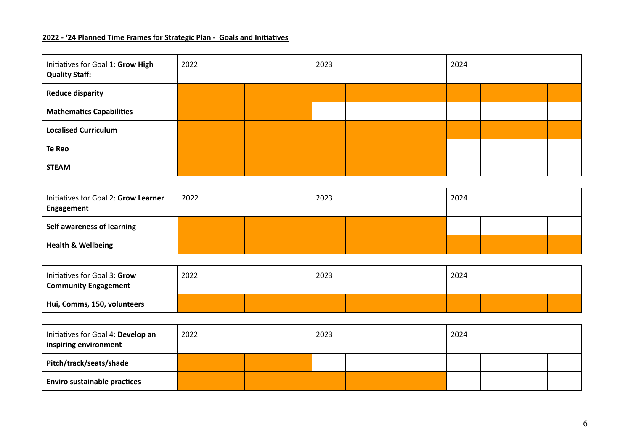#### **2022 - '24 Planned Time Frames for Strategic Plan - Goals and Iniaves**

| Initiatives for Goal 1: Grow High<br><b>Quality Staff:</b> | 2022 |  |  |  | 2023 |  |  |  | 2024 |  |  |  |
|------------------------------------------------------------|------|--|--|--|------|--|--|--|------|--|--|--|
| <b>Reduce disparity</b>                                    |      |  |  |  |      |  |  |  |      |  |  |  |
| <b>Mathematics Capabilities</b>                            |      |  |  |  |      |  |  |  |      |  |  |  |
| <b>Localised Curriculum</b>                                |      |  |  |  |      |  |  |  |      |  |  |  |
| Te Reo                                                     |      |  |  |  |      |  |  |  |      |  |  |  |
| <b>STEAM</b>                                               |      |  |  |  |      |  |  |  |      |  |  |  |

| Initiatives for Goal 2: Grow Learner<br>Engagement | 2022 |  |  |  | 2023 |  |  |  | 2024 |  |  |  |
|----------------------------------------------------|------|--|--|--|------|--|--|--|------|--|--|--|
| Self awareness of learning                         |      |  |  |  |      |  |  |  |      |  |  |  |
| <b>Health &amp; Wellbeing</b>                      |      |  |  |  |      |  |  |  |      |  |  |  |

| Initiatives for Goal 3: Grow<br><b>Community Engagement</b> | 2022 | 2023 | 2024 |  |  |
|-------------------------------------------------------------|------|------|------|--|--|
| Hui, Comms, 150, volunteers                                 |      |      |      |  |  |

| Initiatives for Goal 4: Develop an<br>inspiring environment | 2022 |  |  |  | 2023 |  |  |  | 2024 |  |  |  |
|-------------------------------------------------------------|------|--|--|--|------|--|--|--|------|--|--|--|
| Pitch/track/seats/shade                                     |      |  |  |  |      |  |  |  |      |  |  |  |
| <b>Enviro sustainable practices</b>                         |      |  |  |  |      |  |  |  |      |  |  |  |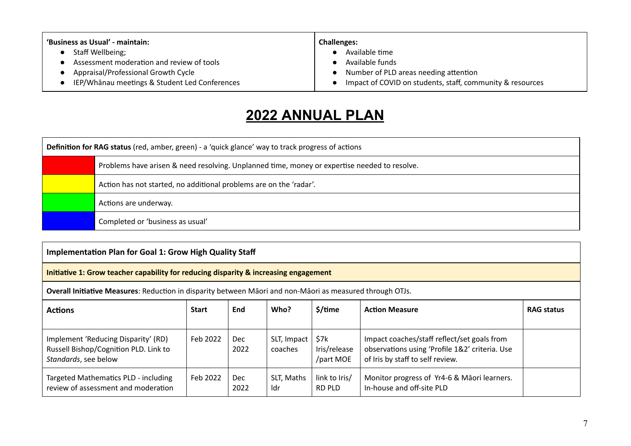| 'Business as Usual' - maintain:               | <b>Challenges:</b>                                        |  |  |  |  |  |
|-----------------------------------------------|-----------------------------------------------------------|--|--|--|--|--|
| Staff Wellbeing;                              | Available time                                            |  |  |  |  |  |
| Assessment moderation and review of tools     | Available funds                                           |  |  |  |  |  |
| Appraisal/Professional Growth Cycle           | Number of PLD areas needing attention                     |  |  |  |  |  |
| IEP/Whānau meetings & Student Led Conferences | Impact of COVID on students, staff, community & resources |  |  |  |  |  |

### **2022 ANNUAL PLAN**

| <b>Definition for RAG status</b> (red, amber, green) - a 'quick glance' way to track progress of actions |                                                                                              |  |  |  |  |  |  |  |
|----------------------------------------------------------------------------------------------------------|----------------------------------------------------------------------------------------------|--|--|--|--|--|--|--|
|                                                                                                          | Problems have arisen & need resolving. Unplanned time, money or expertise needed to resolve. |  |  |  |  |  |  |  |
|                                                                                                          | Action has not started, no additional problems are on the 'radar'.                           |  |  |  |  |  |  |  |
|                                                                                                          | Actions are underway.                                                                        |  |  |  |  |  |  |  |
|                                                                                                          | Completed or 'business as usual'                                                             |  |  |  |  |  |  |  |

#### **Implementation Plan for Goal 1: Grow High Quality Staff**

#### **Initiative 1: Grow teacher capability for reducing disparity & increasing engagement**

**Overall Initiative Measures**: Reduction in disparity between Māori and non-Māori as measured through OTJs.

| <b>Actions</b>                                                                                       | <b>Start</b> | <b>End</b>  | Who?                   | \$/time                           | <b>Action Measure</b>                                                                                                             | <b>RAG status</b> |
|------------------------------------------------------------------------------------------------------|--------------|-------------|------------------------|-----------------------------------|-----------------------------------------------------------------------------------------------------------------------------------|-------------------|
| Implement 'Reducing Disparity' (RD)<br>Russell Bishop/Cognition PLD. Link to<br>Standards, see below | Feb 2022     | Dec<br>2022 | SLT, Impact<br>coaches | \$7k<br>Iris/release<br>/part MOE | Impact coaches/staff reflect/set goals from<br>observations using 'Profile 1&2' criteria. Use<br>of Iris by staff to self review. |                   |
| Targeted Mathematics PLD - including<br>review of assessment and moderation                          | Feb 2022     | Dec<br>2022 | SLT, Maths<br>Idr      | link to Iris/<br>RD PLD           | Monitor progress of Yr4-6 & Māori learners.<br>In-house and off-site PLD                                                          |                   |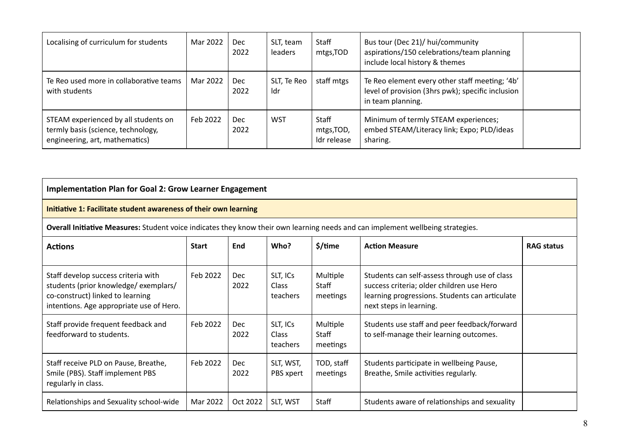| Localising of curriculum for students                                                                        | Mar 2022 | Dec<br>2022        | SLT, team<br>leaders | Staff<br>mtgs, TOD                 | Bus tour (Dec 21)/ hui/community<br>aspirations/150 celebrations/team planning<br>include local history & themes         |  |
|--------------------------------------------------------------------------------------------------------------|----------|--------------------|----------------------|------------------------------------|--------------------------------------------------------------------------------------------------------------------------|--|
| Te Reo used more in collaborative teams<br>with students                                                     | Mar 2022 | <b>Dec</b><br>2022 | SLT, Te Reo<br>Idr   | staff mtgs                         | Te Reo element every other staff meeting; '4b'<br>level of provision (3hrs pwk); specific inclusion<br>in team planning. |  |
| STEAM experienced by all students on<br>termly basis (science, technology,<br>engineering, art, mathematics) | Feb 2022 | <b>Dec</b><br>2022 | <b>WST</b>           | Staff<br>mtgs, TOD,<br>Idr release | Minimum of termly STEAM experiences;<br>embed STEAM/Literacy link; Expo; PLD/ideas<br>sharing.                           |  |

| <b>Implementation Plan for Goal 2: Grow Learner Engagement</b>                                                                                              |          |                    |                                      |                               |                                                                                                                                                                         |  |  |  |  |
|-------------------------------------------------------------------------------------------------------------------------------------------------------------|----------|--------------------|--------------------------------------|-------------------------------|-------------------------------------------------------------------------------------------------------------------------------------------------------------------------|--|--|--|--|
| Initiative 1: Facilitate student awareness of their own learning                                                                                            |          |                    |                                      |                               |                                                                                                                                                                         |  |  |  |  |
| Overall Initiative Measures: Student voice indicates they know their own learning needs and can implement wellbeing strategies.                             |          |                    |                                      |                               |                                                                                                                                                                         |  |  |  |  |
| Who?<br>\$/time<br><b>RAG status</b><br><b>Actions</b><br><b>Start</b><br>End<br><b>Action Measure</b>                                                      |          |                    |                                      |                               |                                                                                                                                                                         |  |  |  |  |
| Staff develop success criteria with<br>students (prior knowledge/exemplars/<br>co-construct) linked to learning<br>intentions. Age appropriate use of Hero. | Feb 2022 | <b>Dec</b><br>2022 | SLT, ICs<br><b>Class</b><br>teachers | Multiple<br>Staff<br>meetings | Students can self-assess through use of class<br>success criteria; older children use Hero<br>learning progressions. Students can articulate<br>next steps in learning. |  |  |  |  |
| Staff provide frequent feedback and<br>feedforward to students.                                                                                             | Feb 2022 | <b>Dec</b><br>2022 | SLT, ICs<br><b>Class</b><br>teachers | Multiple<br>Staff<br>meetings | Students use staff and peer feedback/forward<br>to self-manage their learning outcomes.                                                                                 |  |  |  |  |
| Staff receive PLD on Pause, Breathe,<br>Smile (PBS). Staff implement PBS<br>regularly in class.                                                             | Feb 2022 | <b>Dec</b><br>2022 | SLT, WST,<br>PBS xpert               | TOD, staff<br>meetings        | Students participate in wellbeing Pause,<br>Breathe, Smile activities regularly.                                                                                        |  |  |  |  |
| Relationships and Sexuality school-wide                                                                                                                     | Mar 2022 | Oct 2022           | SLT, WST                             | Staff                         | Students aware of relationships and sexuality                                                                                                                           |  |  |  |  |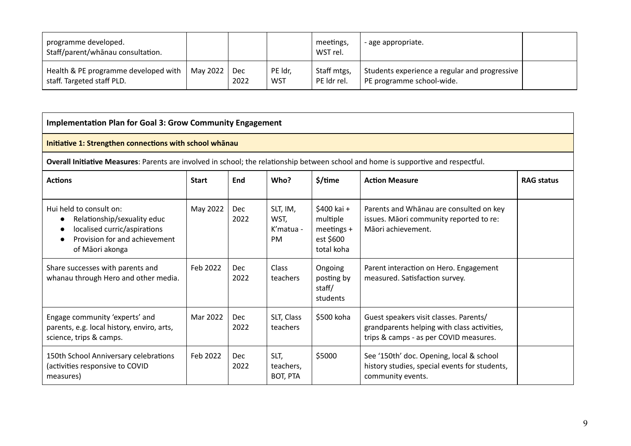| programme developed.<br>Staff/parent/whānau consultation.          |          |             |                       | meetings,<br>WST rel.      | - age appropriate.                                                         |  |
|--------------------------------------------------------------------|----------|-------------|-----------------------|----------------------------|----------------------------------------------------------------------------|--|
| Health & PE programme developed with<br>staff. Targeted staff PLD. | May 2022 | Dec<br>2022 | PE ldr,<br><b>WST</b> | Staff mtgs,<br>PE ldr rel. | Students experience a regular and progressive<br>PE programme school-wide. |  |

| <b>Implementation Plan for Goal 3: Grow Community Engagement</b>                                                                                        |          |                    |                                              |                                                                    |                                                                                                                                 |  |  |  |  |
|---------------------------------------------------------------------------------------------------------------------------------------------------------|----------|--------------------|----------------------------------------------|--------------------------------------------------------------------|---------------------------------------------------------------------------------------------------------------------------------|--|--|--|--|
| Initiative 1: Strengthen connections with school whanau                                                                                                 |          |                    |                                              |                                                                    |                                                                                                                                 |  |  |  |  |
| Overall Initiative Measures: Parents are involved in school; the relationship between school and home is supportive and respectful.                     |          |                    |                                              |                                                                    |                                                                                                                                 |  |  |  |  |
| Who?<br>\$/time<br><b>Actions</b><br><b>Start</b><br>End<br><b>Action Measure</b>                                                                       |          |                    |                                              |                                                                    |                                                                                                                                 |  |  |  |  |
| Hui held to consult on:<br>Relationship/sexuality educ<br>$\bullet$<br>localised curric/aspirations<br>Provision for and achievement<br>of Māori akonga | May 2022 | Dec<br>2022        | SLT, IM,<br>WST,<br>$K'matua -$<br><b>PM</b> | \$400 kai +<br>multiple<br>meetings $+$<br>est \$600<br>total koha | Parents and Whanau are consulted on key<br>issues. Māori community reported to re:<br>Māori achievement.                        |  |  |  |  |
| Share successes with parents and<br>whanau through Hero and other media.                                                                                | Feb 2022 | <b>Dec</b><br>2022 | <b>Class</b><br>teachers                     | Ongoing<br>posting by<br>staff/<br>students                        | Parent interaction on Hero. Engagement<br>measured. Satisfaction survey.                                                        |  |  |  |  |
| Engage community 'experts' and<br>parents, e.g. local history, enviro, arts,<br>science, trips & camps.                                                 | Mar 2022 | <b>Dec</b><br>2022 | SLT, Class<br>teachers                       | \$500 koha                                                         | Guest speakers visit classes. Parents/<br>grandparents helping with class activities,<br>trips & camps - as per COVID measures. |  |  |  |  |
| 150th School Anniversary celebrations<br>(activities responsive to COVID<br>measures)                                                                   | Feb 2022 | <b>Dec</b><br>2022 | SLT,<br>teachers,<br>BOT, PTA                | \$5000                                                             | See '150th' doc. Opening, local & school<br>history studies, special events for students,<br>community events.                  |  |  |  |  |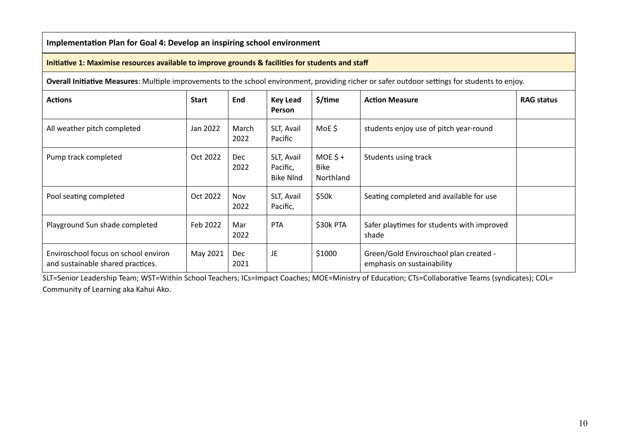**Implementation Plan for Goal 4: Develop an inspiring school environment** 

#### **Initiative 1: Maximise resources available to improve grounds & facilities for students and staff**

**Overall Initiative Measures**: Multiple improvements to the school environment, providing richer or safer outdoor settings for students to enjoy.

| <b>Actions</b>                                                            | <b>Start</b> | End                | <b>Key Lead</b><br>Person                  | \$/time                               | <b>Action Measure</b>                                                | <b>RAG status</b> |
|---------------------------------------------------------------------------|--------------|--------------------|--------------------------------------------|---------------------------------------|----------------------------------------------------------------------|-------------------|
| All weather pitch completed                                               | Jan 2022     | March<br>2022      | SLT, Avail<br>Pacific                      | MoE\$                                 | students enjoy use of pitch year-round                               |                   |
| Pump track completed                                                      | Oct 2022     | <b>Dec</b><br>2022 | SLT, Avail<br>Pacific,<br><b>Bike NInd</b> | $MOE$ \$+<br><b>Bike</b><br>Northland | Students using track                                                 |                   |
| Pool seating completed                                                    | Oct 2022     | Nov<br>2022        | SLT, Avail<br>Pacific,                     | \$50k                                 | Seating completed and available for use                              |                   |
| Playground Sun shade completed                                            | Feb 2022     | Mar<br>2022        | <b>PTA</b>                                 | \$30k PTA                             | Safer playtimes for students with improved<br>shade                  |                   |
| Enviroschool focus on school environ<br>and sustainable shared practices. | May 2021     | <b>Dec</b><br>2021 | JE                                         | \$1000                                | Green/Gold Enviroschool plan created -<br>emphasis on sustainability |                   |

SLT=Senior Leadership Team; WST=Within School Teachers; ICs=Impact Coaches; MOE=Ministry of Education; CTs=Collaborative Teams (syndicates); COL= Community of Learning aka Kahui Ako.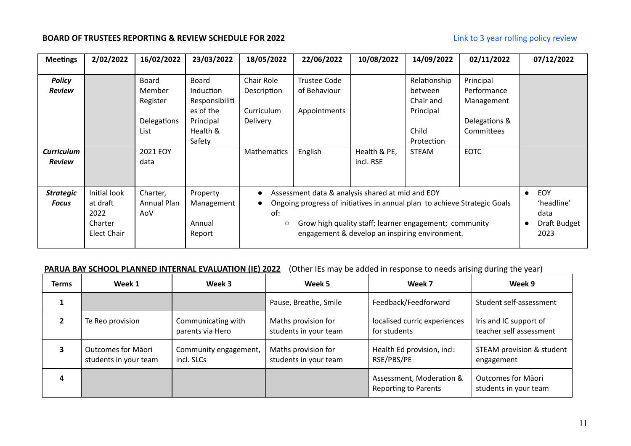### **BOARD OF TRUSTEES REPORTING & REVIEW SCHEDULE FOR 2022** [Link to 3 year rolling policy review](https://docs.google.com/document/d/1fl3tYjSTbk-N-mZYxfvqpcL6172mrHJSEbakyUZ5rJw/edit)

| <b>Meetings</b>                  | 2/02/2022                                                  | 16/02/2022                                         | 23/03/2022                                                                                         | 18/05/2022                                                                                                                                                                                                                                                  | 22/06/2022                                          | 10/08/2022                | 14/09/2022                                                               | 02/11/2022                                                            | 07/12/2022                                                     |
|----------------------------------|------------------------------------------------------------|----------------------------------------------------|----------------------------------------------------------------------------------------------------|-------------------------------------------------------------------------------------------------------------------------------------------------------------------------------------------------------------------------------------------------------------|-----------------------------------------------------|---------------------------|--------------------------------------------------------------------------|-----------------------------------------------------------------------|----------------------------------------------------------------|
| <b>Policy</b><br><b>Review</b>   |                                                            | Board<br>Member<br>Register<br>Delegations<br>List | <b>Board</b><br><b>Induction</b><br>Responsibiliti<br>es of the<br>Principal<br>Health &<br>Safety | Chair Role<br>Description<br>Curriculum<br><b>Delivery</b>                                                                                                                                                                                                  | <b>Trustee Code</b><br>of Behaviour<br>Appointments |                           | Relationship<br>between<br>Chair and<br>Principal<br>Child<br>Protection | Principal<br>Performance<br>Management<br>Delegations &<br>Committees |                                                                |
| <b>Curriculum</b><br>Review      |                                                            | 2021 EOY<br>data                                   |                                                                                                    | Mathematics                                                                                                                                                                                                                                                 | English                                             | Health & PE,<br>incl. RSE | <b>STEAM</b>                                                             | <b>EOTC</b>                                                           |                                                                |
| <b>Strategic</b><br><b>Focus</b> | Initial look<br>at draft<br>2022<br>Charter<br>Elect Chair | Charter,<br>Annual Plan<br>AoV                     | Property<br>Management<br>Annual<br>Report                                                         | Assessment data & analysis shared at mid and EOY<br>Ongoing progress of initiatives in annual plan to achieve Strategic Goals<br>of:<br>Grow high quality staff; learner engagement; community<br>$\circ$<br>engagement & develop an inspiring environment. |                                                     |                           |                                                                          |                                                                       | EOY<br>$\bullet$<br>'headline'<br>data<br>Draft Budget<br>2023 |

#### **PARUA BAY SCHOOL PLANNED INTERNAL EVALUATION (IE) 2022** (Other IEs may be added in response to needs arising during the year)

| <b>Terms</b> | Week 1                                             | Week 3                                 | Week 5                                       | Week 7                                                  | Week 9                                             |
|--------------|----------------------------------------------------|----------------------------------------|----------------------------------------------|---------------------------------------------------------|----------------------------------------------------|
|              |                                                    |                                        | Pause, Breathe, Smile                        | Feedback/Feedforward                                    | Student self-assessment                            |
|              | Te Reo provision                                   | Communicating with<br>parents via Hero | Maths provision for<br>students in your team | localised curric experiences<br>for students            | Iris and IC support of<br>teacher self assessment  |
|              | <b>Outcomes for Maori</b><br>students in your team | Community engagement,<br>incl. SLCs    | Maths provision for<br>students in your team | Health Ed provision, incl:<br>RSE/PBS/PE                | STEAM provision & student<br>engagement            |
| 4            |                                                    |                                        |                                              | Assessment, Moderation &<br><b>Reporting to Parents</b> | <b>Outcomes for Māori</b><br>students in your team |